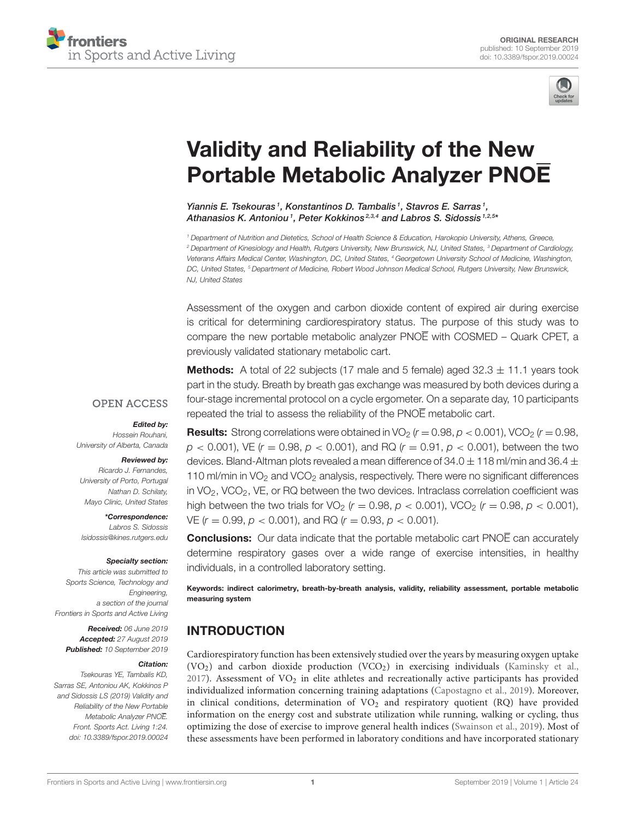



# Validity and Reliability of the New [Portable Metabolic Analyzer PNOE](https://www.frontiersin.org/articles/10.3389/fspor.2019.00024/full)

[Yiannis E. Tsekouras](http://loop.frontiersin.org/people/746464/overview)<sup>1</sup>, [Konstantinos D. Tambalis](http://loop.frontiersin.org/people/746446/overview)<sup>1</sup>, [Stavros E. Sarras](http://loop.frontiersin.org/people/747251/overview)<sup>1</sup>, [Athanasios K. Antoniou](http://loop.frontiersin.org/people/747511/overview)<sup>1</sup>, [Peter Kokkinos](http://loop.frontiersin.org/people/746418/overview)<sup>2,3,4</sup> and [Labros S. Sidossis](http://loop.frontiersin.org/people/744440/overview)<sup>1,2,5</sup>\*

*<sup>1</sup> Department of Nutrition and Dietetics, School of Health Science & Education, Harokopio University, Athens, Greece, <sup>2</sup> Department of Kinesiology and Health, Rutgers University, New Brunswick, NJ, United States, <sup>3</sup> Department of Cardiology, Veterans Affairs Medical Center, Washington, DC, United States, <sup>4</sup> Georgetown University School of Medicine, Washington, DC, United States, <sup>5</sup> Department of Medicine, Robert Wood Johnson Medical School, Rutgers University, New Brunswick, NJ, United States*

Assessment of the oxygen and carbon dioxide content of expired air during exercise is critical for determining cardiorespiratory status. The purpose of this study was to compare the new portable metabolic analyzer PNOE with COSMED – Quark CPET, a previously validated stationary metabolic cart.

**Methods:** A total of 22 subjects (17 male and 5 female) aged  $32.3 \pm 11.1$  years took part in the study. Breath by breath gas exchange was measured by both devices during a four-stage incremental protocol on a cycle ergometer. On a separate day, 10 participants repeated the trial to assess the reliability of the PNOE metabolic cart.

#### **OPEN ACCESS**

#### Edited by:

*Hossein Rouhani, University of Alberta, Canada*

#### Reviewed by:

*Ricardo J. Fernandes, University of Porto, Portugal Nathan D. Schilaty, Mayo Clinic, United States*

\*Correspondence: *Labros S. Sidossis [lsidossis@kines.rutgers.edu](mailto:lsidossis@kines.rutgers.edu)*

#### Specialty section:

*This article was submitted to Sports Science, Technology and Engineering, a section of the journal Frontiers in Sports and Active Living*

Received: *06 June 2019* Accepted: *27 August 2019* Published: *10 September 2019*

#### Citation:

*Tsekouras YE, Tambalis KD, Sarras SE, Antoniou AK, Kokkinos P and Sidossis LS (2019) Validity and Reliability of the New Portable Metabolic Analyzer PNOE. Front. Sports Act. Living 1:24. doi: [10.3389/fspor.2019.00024](https://doi.org/10.3389/fspor.2019.00024)*

**Results:** Strong correlations were obtained in VO<sub>2</sub> ( $r = 0.98$ ,  $p < 0.001$ ), VCO<sub>2</sub> ( $r = 0.98$ ,  $p$  < 0.001), VE  $(r = 0.98, p < 0.001)$ , and RQ  $(r = 0.91, p < 0.001)$ , between the two devices. Bland-Altman plots revealed a mean difference of 34.0  $\pm$  118 ml/min and 36.4  $\pm$ 110 ml/min in  $VO<sub>2</sub>$  and  $VCO<sub>2</sub>$  analysis, respectively. There were no significant differences in  $VO<sub>2</sub>$ , VCO<sub>2</sub>, VE, or RQ between the two devices. Intraclass correlation coefficient was high between the two trials for VO<sub>2</sub> ( $r = 0.98$ ,  $p < 0.001$ ), VCO<sub>2</sub> ( $r = 0.98$ ,  $p < 0.001$ ), VE (*r* = 0.99, *p* < 0.001), and RQ (*r* = 0.93, *p* < 0.001).

**Conclusions:** Our data indicate that the portable metabolic cart PNOE can accurately determine respiratory gases over a wide range of exercise intensities, in healthy individuals, in a controlled laboratory setting.

Keywords: indirect calorimetry, breath-by-breath analysis, validity, reliability assessment, portable metabolic measuring system

# INTRODUCTION

Cardiorespiratory function has been extensively studied over the years by measuring oxygen uptake (VO2) and carbon dioxide production (VCO2) in exercising individuals [\(Kaminsky et al.,](#page-5-0) [2017\)](#page-5-0). Assessment of  $VO<sub>2</sub>$  in elite athletes and recreationally active participants has provided individualized information concerning training adaptations [\(Capostagno et al., 2019\)](#page-5-1). Moreover, in clinical conditions, determination of  $VO<sub>2</sub>$  and respiratory quotient (RQ) have provided information on the energy cost and substrate utilization while running, walking or cycling, thus optimizing the dose of exercise to improve general health indices [\(Swainson et al., 2019\)](#page-6-0). Most of these assessments have been performed in laboratory conditions and have incorporated stationary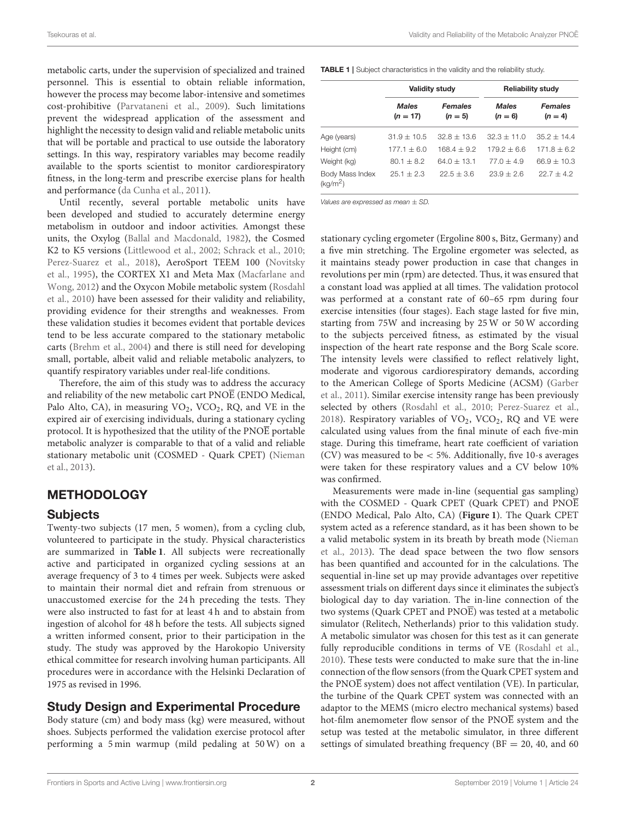Tsekouras et al. Validity and Reliability of the Metabolic Analyzer PNOE

metabolic carts, under the supervision of specialized and trained personnel. This is essential to obtain reliable information, however the process may become labor-intensive and sometimes cost-prohibitive [\(Parvataneni et al., 2009\)](#page-5-2). Such limitations prevent the widespread application of the assessment and highlight the necessity to design valid and reliable metabolic units that will be portable and practical to use outside the laboratory settings. In this way, respiratory variables may become readily available to the sports scientist to monitor cardiorespiratory fitness, in the long-term and prescribe exercise plans for health and performance [\(da Cunha et al., 2011\)](#page-5-3).

Until recently, several portable metabolic units have been developed and studied to accurately determine energy metabolism in outdoor and indoor activities. Amongst these units, the Oxylog [\(Ballal and Macdonald, 1982\)](#page-5-4), the Cosmed K2 to K5 versions [\(Littlewood et al., 2002;](#page-5-5) [Schrack et al., 2010;](#page-6-1) [Perez-Suarez et al., 2018\)](#page-6-2), AeroSport TEEM 100 (Novitsky et al., [1995\)](#page-5-6), the CORTEX X1 and Meta Max (Macfarlane and Wong, [2012\)](#page-5-7) and the Oxycon Mobile metabolic system (Rosdahl et al., [2010\)](#page-6-3) have been assessed for their validity and reliability, providing evidence for their strengths and weaknesses. From these validation studies it becomes evident that portable devices tend to be less accurate compared to the stationary metabolic carts [\(Brehm et al., 2004\)](#page-5-8) and there is still need for developing small, portable, albeit valid and reliable metabolic analyzers, to quantify respiratory variables under real-life conditions.

Therefore, the aim of this study was to address the accuracy and reliability of the new metabolic cart PNOE (ENDO Medical, Palo Alto, CA), in measuring VO<sub>2</sub>, VCO<sub>2</sub>, RQ, and VE in the expired air of exercising individuals, during a stationary cycling protocol. It is hypothesized that the utility of the  $PNO\overline{E}$  portable metabolic analyzer is comparable to that of a valid and reliable stationary metabolic unit (COSMED - Quark CPET) (Nieman et al., [2013\)](#page-5-9).

# **METHODOLOGY**

# Subjects

Twenty-two subjects (17 men, 5 women), from a cycling club, volunteered to participate in the study. Physical characteristics are summarized in **[Table 1](#page-1-0)**. All subjects were recreationally active and participated in organized cycling sessions at an average frequency of 3 to 4 times per week. Subjects were asked to maintain their normal diet and refrain from strenuous or unaccustomed exercise for the 24 h preceding the tests. They were also instructed to fast for at least 4 h and to abstain from ingestion of alcohol for 48 h before the tests. All subjects signed a written informed consent, prior to their participation in the study. The study was approved by the Harokopio University ethical committee for research involving human participants. All procedures were in accordance with the Helsinki Declaration of 1975 as revised in 1996.

# Study Design and Experimental Procedure

Body stature (cm) and body mass (kg) were measured, without shoes. Subjects performed the validation exercise protocol after performing a 5 min warmup (mild pedaling at 50 W) on a

<span id="page-1-0"></span>TABLE 1 | Subject characteristics in the validity and the reliability study.

|                                         |                            | <b>Validity study</b>       | <b>Reliability study</b>  |                             |  |
|-----------------------------------------|----------------------------|-----------------------------|---------------------------|-----------------------------|--|
|                                         | <b>Males</b><br>$(n = 17)$ | <b>Females</b><br>$(n = 5)$ | <b>Males</b><br>$(n = 6)$ | <b>Females</b><br>$(n = 4)$ |  |
| Age (years)                             | $31.9 + 10.5$              | $32.8 + 13.6$               | $32.3 + 11.0$             | $35.2 + 14.4$               |  |
| Height (cm)                             | $177.1 + 6.0$              | $168.4 + 9.2$               | $179.2 + 6.6$             | $171.8 + 6.2$               |  |
| Weight (kg)                             | $80.1 + 8.2$               | $640 + 131$                 | $770 + 49$                | $66.9 + 10.3$               |  |
| Body Mass Index<br>(kq/m <sup>2</sup> ) | $251 + 23$                 | $22.5 + 3.6$                | $23.9 + 2.6$              | $227 + 42$                  |  |

*Values are expressed as mean* ± *SD.*

stationary cycling ergometer (Ergoline 800 s, Bitz, Germany) and a five min stretching. The Ergoline ergometer was selected, as it maintains steady power production in case that changes in revolutions per min (rpm) are detected. Thus, it was ensured that a constant load was applied at all times. The validation protocol was performed at a constant rate of 60–65 rpm during four exercise intensities (four stages). Each stage lasted for five min, starting from 75W and increasing by 25 W or 50 W according to the subjects perceived fitness, as estimated by the visual inspection of the heart rate response and the Borg Scale score. The intensity levels were classified to reflect relatively light, moderate and vigorous cardiorespiratory demands, according to the American College of Sports Medicine (ACSM) (Garber et al., [2011\)](#page-5-10). Similar exercise intensity range has been previously selected by others [\(Rosdahl et al., 2010;](#page-6-3) [Perez-Suarez et al.,](#page-6-2) [2018\)](#page-6-2). Respiratory variables of  $VO_2$ ,  $VCO_2$ ,  $RQ$  and  $VE$  were calculated using values from the final minute of each five-min stage. During this timeframe, heart rate coefficient of variation (CV) was measured to be < 5%. Additionally, five 10-s averages were taken for these respiratory values and a CV below 10% was confirmed.

Measurements were made in-line (sequential gas sampling) with the COSMED - Quark CPET (Quark CPET) and PNOE (ENDO Medical, Palo Alto, CA) (**[Figure 1](#page-2-0)**). The Quark CPET system acted as a reference standard, as it has been shown to be a valid metabolic system in its breath by breath mode (Nieman et al., [2013\)](#page-5-9). The dead space between the two flow sensors has been quantified and accounted for in the calculations. The sequential in-line set up may provide advantages over repetitive assessment trials on different days since it eliminates the subject's biological day to day variation. The in-line connection of the two systems (Quark CPET and PNOE) was tested at a metabolic simulator (Relitech, Netherlands) prior to this validation study. A metabolic simulator was chosen for this test as it can generate fully reproducible conditions in terms of VE [\(Rosdahl et al.,](#page-6-3) [2010\)](#page-6-3). These tests were conducted to make sure that the in-line connection of the flow sensors (from the Quark CPET system and the PNO $\overline{E}$  system) does not affect ventilation (VE). In particular, the turbine of the Quark CPET system was connected with an adaptor to the MEMS (micro electro mechanical systems) based hot-film anemometer flow sensor of the PNOE system and the setup was tested at the metabolic simulator, in three different settings of simulated breathing frequency ( $BF = 20, 40,$  and 60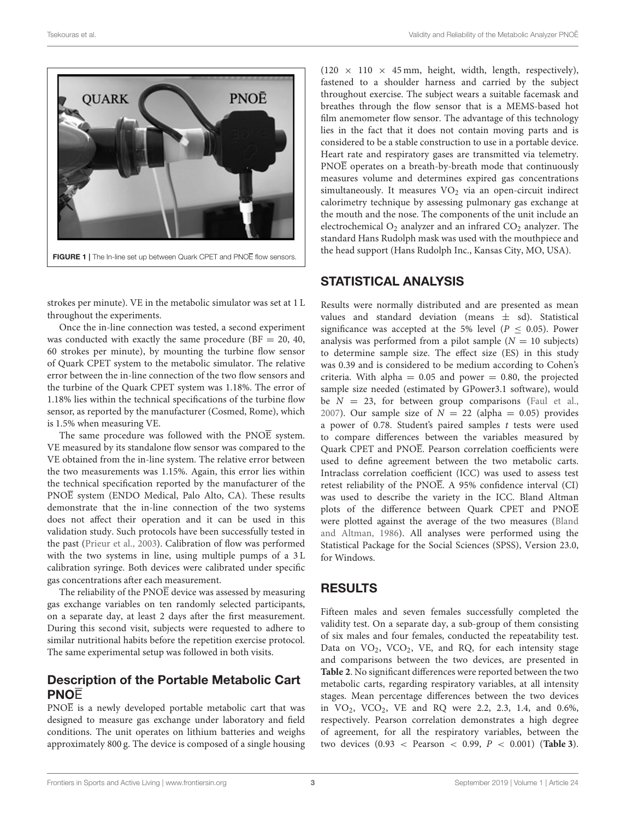

<span id="page-2-0"></span>strokes per minute). VE in the metabolic simulator was set at 1 L throughout the experiments.

Once the in-line connection was tested, a second experiment was conducted with exactly the same procedure ( $BF = 20, 40,$ 60 strokes per minute), by mounting the turbine flow sensor of Quark CPET system to the metabolic simulator. The relative error between the in-line connection of the two flow sensors and the turbine of the Quark CPET system was 1.18%. The error of 1.18% lies within the technical specifications of the turbine flow sensor, as reported by the manufacturer (Cosmed, Rome), which is 1.5% when measuring VE.

The same procedure was followed with the PNOE system. VE measured by its standalone flow sensor was compared to the VE obtained from the in-line system. The relative error between the two measurements was 1.15%. Again, this error lies within the technical specification reported by the manufacturer of the PNOE system (ENDO Medical, Palo Alto, CA). These results demonstrate that the in-line connection of the two systems does not affect their operation and it can be used in this validation study. Such protocols have been successfully tested in the past [\(Prieur et al., 2003\)](#page-6-4). Calibration of flow was performed with the two systems in line, using multiple pumps of a 3 L calibration syringe. Both devices were calibrated under specific gas concentrations after each measurement.

The reliability of the  $PNO\overline{E}$  device was assessed by measuring gas exchange variables on ten randomly selected participants, on a separate day, at least 2 days after the first measurement. During this second visit, subjects were requested to adhere to similar nutritional habits before the repetition exercise protocol. The same experimental setup was followed in both visits.

## Description of the Portable Metabolic Cart **PNOF**

PNOE is a newly developed portable metabolic cart that was designed to measure gas exchange under laboratory and field conditions. The unit operates on lithium batteries and weighs approximately 800 g. The device is composed of a single housing

 $(120 \times 110 \times 45 \text{ mm})$ , height, width, length, respectively), fastened to a shoulder harness and carried by the subject throughout exercise. The subject wears a suitable facemask and breathes through the flow sensor that is a MEMS-based hot film anemometer flow sensor. The advantage of this technology lies in the fact that it does not contain moving parts and is considered to be a stable construction to use in a portable device. Heart rate and respiratory gases are transmitted via telemetry. PNOE operates on a breath-by-breath mode that continuously measures volume and determines expired gas concentrations simultaneously. It measures  $VO<sub>2</sub>$  via an open-circuit indirect calorimetry technique by assessing pulmonary gas exchange at the mouth and the nose. The components of the unit include an electrochemical  $O_2$  analyzer and an infrared  $CO_2$  analyzer. The standard Hans Rudolph mask was used with the mouthpiece and the head support (Hans Rudolph Inc., Kansas City, MO, USA).

#### STATISTICAL ANALYSIS

Results were normally distributed and are presented as mean values and standard deviation (means  $\pm$  sd). Statistical significance was accepted at the 5% level ( $P \leq 0.05$ ). Power analysis was performed from a pilot sample  $(N = 10$  subjects) to determine sample size. The effect size (ES) in this study was 0.39 and is considered to be medium according to Cohen's criteria. With alpha =  $0.05$  and power = 0.80, the projected sample size needed (estimated by GPower3.1 software), would be  $N = 23$ , for between group comparisons [\(Faul et al.,](#page-5-11) [2007\)](#page-5-11). Our sample size of  $N = 22$  (alpha = 0.05) provides a power of 0.78. Student's paired samples t tests were used to compare differences between the variables measured by Quark CPET and PNOE. Pearson correlation coefficients were used to define agreement between the two metabolic carts. Intraclass correlation coefficient (ICC) was used to assess test retest reliability of the PNOE. A 95% confidence interval (CI) was used to describe the variety in the ICC. Bland Altman plots of the difference between Quark CPET and PNOE were plotted against the average of the two measures (Bland and Altman, [1986\)](#page-5-12). All analyses were performed using the Statistical Package for the Social Sciences (SPSS), Version 23.0, for Windows.

#### RESULTS

Fifteen males and seven females successfully completed the validity test. On a separate day, a sub-group of them consisting of six males and four females, conducted the repeatability test. Data on VO<sub>2</sub>, VCO<sub>2</sub>, VE, and RQ, for each intensity stage and comparisons between the two devices, are presented in **[Table 2](#page-3-0)**. No significant differences were reported between the two metabolic carts, regarding respiratory variables, at all intensity stages. Mean percentage differences between the two devices in VO<sub>2</sub>, VCO<sub>2</sub>, VE and RQ were 2.2, 2.3, 1.4, and 0.6%, respectively. Pearson correlation demonstrates a high degree of agreement, for all the respiratory variables, between the two devices (0.93 < Pearson < 0.99, P < 0.001) (**[Table 3](#page-3-1)**).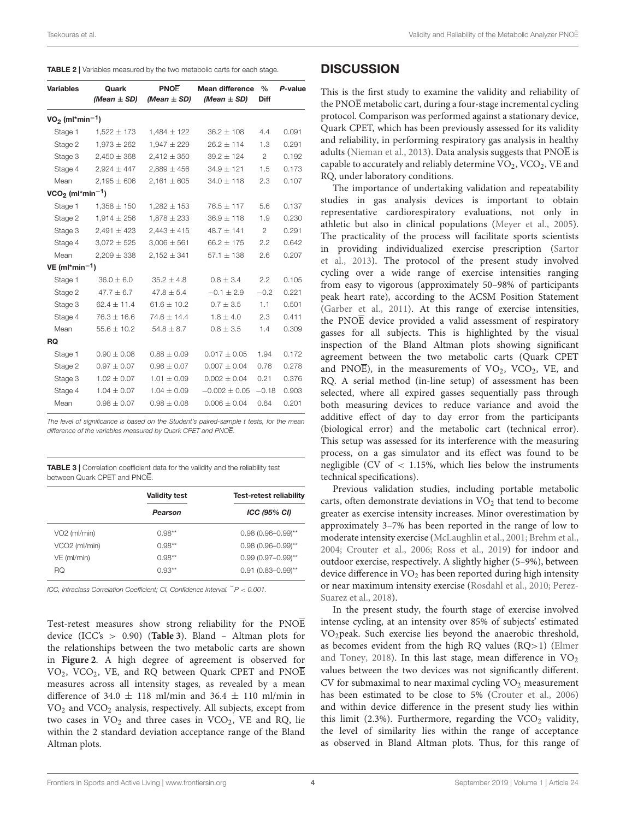<span id="page-3-0"></span>TABLE 2 | Variables measured by the two metabolic carts for each stage.

| <b>Variables</b>               | Quark<br>(Mean $\pm$ SD) | PNOE<br>(Mean $\pm$ SD) | <b>Mean difference</b><br>(Mean $\pm$ SD) | $\frac{0}{0}$<br><b>Diff</b> | P-value |
|--------------------------------|--------------------------|-------------------------|-------------------------------------------|------------------------------|---------|
| $VO2$ (ml*min <sup>-1</sup> )  |                          |                         |                                           |                              |         |
| Stage 1                        | $1,522 \pm 173$          | $1,484 \pm 122$         | $36.2 \pm 108$                            | 4.4                          | 0.091   |
| Stage 2                        | $1,973 \pm 262$          | $1,947 \pm 229$         | $26.2 \pm 114$                            | 1.3                          | 0.291   |
| Stage 3                        | $2,450 \pm 368$          | $2,412 \pm 350$         | $39.2 \pm 124$                            | $\mathbf{2}^{\prime}$        | 0.192   |
| Stage 4                        | $2,924 \pm 447$          | $2.889 \pm 456$         | $34.9 \pm 121$                            | 1.5                          | 0.173   |
| Mean                           | $2,195 \pm 606$          | $2,161 \pm 605$         | $34.0 \pm 118$                            | 2.3                          | 0.107   |
| $VCO2$ (ml*min <sup>-1</sup> ) |                          |                         |                                           |                              |         |
| Stage 1                        | $1,358 \pm 150$          | $1,282 \pm 153$         | $76.5 \pm 117$                            | 5.6                          | 0.137   |
| Stage 2                        | $1,914 \pm 256$          | $1,878 \pm 233$         | $36.9 \pm 118$                            | 1.9                          | 0.230   |
| Stage 3                        | $2,491 \pm 423$          | $2,443 \pm 415$         | $48.7 \pm 141$                            | $\mathbf{2}$                 | 0.291   |
| Stage 4                        | $3,072 \pm 525$          | $3,006 \pm 561$         | $66.2 \pm 175$                            | 2.2                          | 0.642   |
| Mean                           | $2,209 \pm 338$          | $2,152 \pm 341$         | $57.1 \pm 138$                            | 2.6                          | 0.207   |
| VE (ml*min <sup>-1</sup> )     |                          |                         |                                           |                              |         |
| Stage 1                        | $36.0 \pm 6.0$           | $35.2 \pm 4.8$          | $0.8 \pm 3.4$                             | 2.2                          | 0.105   |
| Stage 2                        | $47.7 \pm 6.7$           | $47.8 \pm 5.4$          | $-0.1 \pm 2.9$                            | $-0.2$                       | 0.221   |
| Stage 3                        | $62.4 \pm 11.4$          | $61.6 \pm 10.2$         | $0.7 \pm 3.5$                             | 1.1                          | 0.501   |
| Stage 4                        | $76.3 \pm 16.6$          | $74.6 \pm 14.4$         | $1.8 \pm 4.0$                             | 2.3                          | 0.411   |
| Mean                           | $55.6 \pm 10.2$          | $54.8 \pm 8.7$          | $0.8 \pm 3.5$                             | 1.4                          | 0.309   |
| <b>RQ</b>                      |                          |                         |                                           |                              |         |
| Stage 1                        | $0.90 \pm 0.08$          | $0.88 \pm 0.09$         | $0.017 \pm 0.05$                          | 1.94                         | 0.172   |
| Stage 2                        | $0.97 \pm 0.07$          | $0.96 \pm 0.07$         | $0.007 \pm 0.04$                          | 0.76                         | 0.278   |
| Stage 3                        | $1.02 \pm 0.07$          | $1.01 \pm 0.09$         | $0.002 \pm 0.04$                          | 0.21                         | 0.376   |
| Stage 4                        | $1.04 \pm 0.07$          | $1.04 \pm 0.09$         | $-0.002 \pm 0.05$                         | $-0.18$                      | 0.903   |
| Mean                           | $0.98 \pm 0.07$          | $0.98 \pm 0.08$         | $0.006 \pm 0.04$                          | 0.64                         | 0.201   |
|                                |                          |                         |                                           |                              |         |

*The level of significance is based on the Student's paired-sample t tests, for the mean difference of the variables measured by Quark CPET and PNOE.*

<span id="page-3-1"></span>TABLE 3 | Correlation coefficient data for the validity and the reliability test between Quark CPET and PNOE.

|                           | <b>Validity test</b> | <b>Test-retest reliability</b> |  |  |
|---------------------------|----------------------|--------------------------------|--|--|
|                           | Pearson              | ICC (95% CI)                   |  |  |
| VO <sub>2</sub> (ml/min)  | $0.98**$             | $0.98(0.96 - 0.99)$ **         |  |  |
| VCO <sub>2</sub> (ml/min) | $0.98**$             | $0.98(0.96 - 0.99)$ **         |  |  |
| VE (ml/min)               | $0.98**$             | $0.99(0.97 - 0.99)$ **         |  |  |
| RO                        | $0.93**$             | $0.91(0.83 - 0.99)$ **         |  |  |

*ICC, Intraclass Correlation Coefficient; CI, Confidence Interval.* \*\**P* < *0.001.*

Test-retest measures show strong reliability for the PNOE device (ICC's > 0.90) (**[Table 3](#page-3-1)**). Bland – Altman plots for the relationships between the two metabolic carts are shown in **[Figure 2](#page-4-0)**. A high degree of agreement is observed for  $VO<sub>2</sub>$ ,  $VCO<sub>2</sub>$ ,  $VE<sub>2</sub>$ , and RQ between Quark CPET and PNOE measures across all intensity stages, as revealed by a mean difference of 34.0  $\pm$  118 ml/min and 36.4  $\pm$  110 ml/min in VO<sup>2</sup> and VCO<sup>2</sup> analysis, respectively. All subjects, except from two cases in  $VO<sub>2</sub>$  and three cases in  $VCO<sub>2</sub>$ , VE and RQ, lie within the 2 standard deviation acceptance range of the Bland Altman plots.

#### **DISCUSSION**

This is the first study to examine the validity and reliability of the PNO $\overline{E}$  metabolic cart, during a four-stage incremental cycling protocol. Comparison was performed against a stationary device, Quark CPET, which has been previously assessed for its validity and reliability, in performing respiratory gas analysis in healthy adults [\(Nieman et al., 2013\)](#page-5-9). Data analysis suggests that  $PNO\overline{E}$  is capable to accurately and reliably determine  $VO<sub>2</sub>$ ,  $VCO<sub>2</sub>$ ,  $VE$  and RQ, under laboratory conditions.

The importance of undertaking validation and repeatability studies in gas analysis devices is important to obtain representative cardiorespiratory evaluations, not only in athletic but also in clinical populations [\(Meyer et al., 2005\)](#page-5-13). The practicality of the process will facilitate sports scientists in providing individualized exercise prescription (Sartor et al., [2013\)](#page-6-5). The protocol of the present study involved cycling over a wide range of exercise intensities ranging from easy to vigorous (approximately 50–98% of participants peak heart rate), according to the ACSM Position Statement [\(Garber et al., 2011\)](#page-5-10). At this range of exercise intensities, the PNO $\overline{E}$  device provided a valid assessment of respiratory gasses for all subjects. This is highlighted by the visual inspection of the Bland Altman plots showing significant agreement between the two metabolic carts (Quark CPET and PNOE), in the measurements of  $VO_2$ ,  $VCO_2$ , VE, and RQ. A serial method (in-line setup) of assessment has been selected, where all expired gasses sequentially pass through both measuring devices to reduce variance and avoid the additive effect of day to day error from the participants (biological error) and the metabolic cart (technical error). This setup was assessed for its interference with the measuring process, on a gas simulator and its effect was found to be negligible (CV of  $<$  1.15%, which lies below the instruments technical specifications).

Previous validation studies, including portable metabolic carts, often demonstrate deviations in VO<sub>2</sub> that tend to become greater as exercise intensity increases. Minor overestimation by approximately 3–7% has been reported in the range of low to moderate intensity exercise [\(McLaughlin et al., 2001;](#page-5-14) [Brehm et al.,](#page-5-8) [2004;](#page-5-8) [Crouter et al., 2006;](#page-5-15) [Ross et al., 2019\)](#page-6-6) for indoor and outdoor exercise, respectively. A slightly higher (5–9%), between device difference in  $VO<sub>2</sub>$  has been reported during high intensity or near maximum intensity exercise [\(Rosdahl et al., 2010;](#page-6-3) Perez-Suarez et al., [2018\)](#page-6-2).

In the present study, the fourth stage of exercise involved intense cycling, at an intensity over 85% of subjects' estimated VO2peak. Such exercise lies beyond the anaerobic threshold, as becomes evident from the high RQ values (RQ>1) (Elmer and Toney, [2018\)](#page-5-16). In this last stage, mean difference in  $VO<sub>2</sub>$ values between the two devices was not significantly different.  $CV$  for submaximal to near maximal cycling  $VO<sub>2</sub>$  measurement has been estimated to be close to 5% [\(Crouter et al., 2006\)](#page-5-15) and within device difference in the present study lies within this limit (2.3%). Furthermore, regarding the  $VCO<sub>2</sub>$  validity, the level of similarity lies within the range of acceptance as observed in Bland Altman plots. Thus, for this range of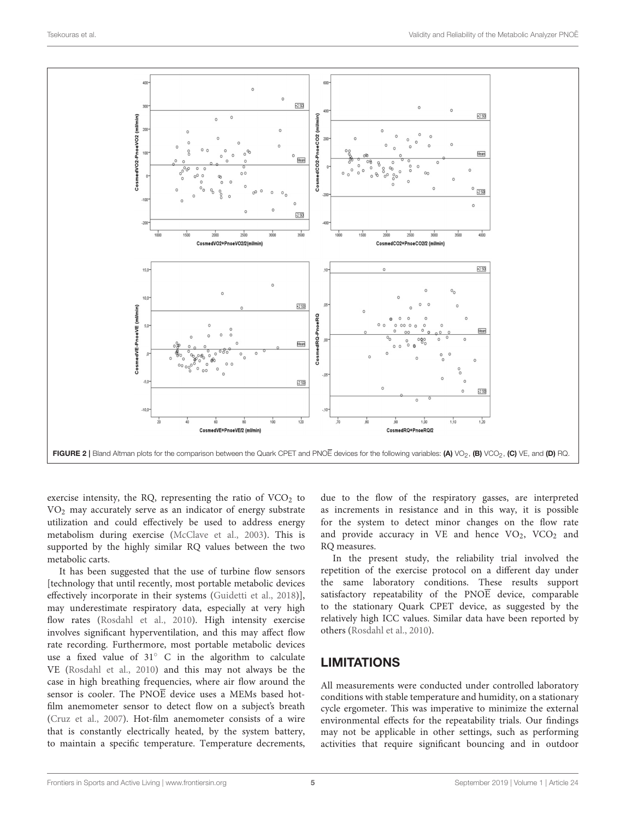

<span id="page-4-0"></span>exercise intensity, the RQ, representing the ratio of  $VCO<sub>2</sub>$  to  $VO<sub>2</sub>$  may accurately serve as an indicator of energy substrate utilization and could effectively be used to address energy metabolism during exercise [\(McClave et al., 2003\)](#page-5-17). This is supported by the highly similar RQ values between the two metabolic carts.

It has been suggested that the use of turbine flow sensors [technology that until recently, most portable metabolic devices effectively incorporate in their systems [\(Guidetti et al., 2018\)](#page-5-18)], may underestimate respiratory data, especially at very high flow rates [\(Rosdahl et al., 2010\)](#page-6-3). High intensity exercise involves significant hyperventilation, and this may affect flow rate recording. Furthermore, most portable metabolic devices use a fixed value of 31◦ C in the algorithm to calculate VE [\(Rosdahl et al., 2010\)](#page-6-3) and this may not always be the case in high breathing frequencies, where air flow around the sensor is cooler. The PNOE device uses a MEMs based hotfilm anemometer sensor to detect flow on a subject's breath [\(Cruz et al., 2007\)](#page-5-19). Hot-film anemometer consists of a wire that is constantly electrically heated, by the system battery, to maintain a specific temperature. Temperature decrements, due to the flow of the respiratory gasses, are interpreted as increments in resistance and in this way, it is possible for the system to detect minor changes on the flow rate and provide accuracy in VE and hence  $VO<sub>2</sub>$ , VCO<sub>2</sub> and RQ measures.

In the present study, the reliability trial involved the repetition of the exercise protocol on a different day under the same laboratory conditions. These results support satisfactory repeatability of the PNO $\overline{E}$  device, comparable to the stationary Quark CPET device, as suggested by the relatively high ICC values. Similar data have been reported by others [\(Rosdahl et al., 2010\)](#page-6-3).

## LIMITATIONS

All measurements were conducted under controlled laboratory conditions with stable temperature and humidity, on a stationary cycle ergometer. This was imperative to minimize the external environmental effects for the repeatability trials. Our findings may not be applicable in other settings, such as performing activities that require significant bouncing and in outdoor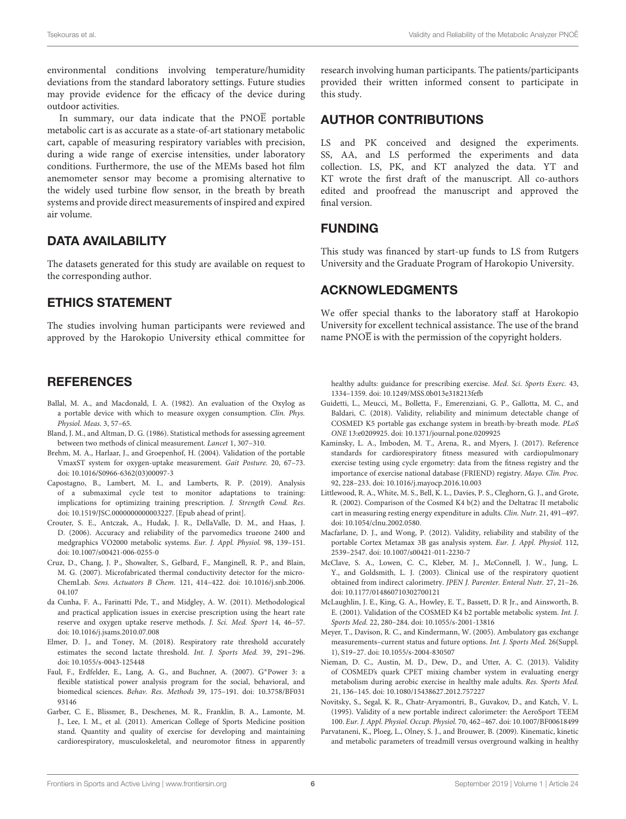environmental conditions involving temperature/humidity deviations from the standard laboratory settings. Future studies may provide evidence for the efficacy of the device during outdoor activities.

In summary, our data indicate that the PNOE portable metabolic cart is as accurate as a state-of-art stationary metabolic cart, capable of measuring respiratory variables with precision, during a wide range of exercise intensities, under laboratory conditions. Furthermore, the use of the MEMs based hot film anemometer sensor may become a promising alternative to the widely used turbine flow sensor, in the breath by breath systems and provide direct measurements of inspired and expired air volume.

# DATA AVAILABILITY

The datasets generated for this study are available on request to the corresponding author.

## ETHICS STATEMENT

The studies involving human participants were reviewed and approved by the Harokopio University ethical committee for

## **REFERENCES**

- <span id="page-5-4"></span>Ballal, M. A., and Macdonald, I. A. (1982). An evaluation of the Oxylog as a portable device with which to measure oxygen consumption. Clin. Phys. Physiol. Meas. 3, 57–65.
- <span id="page-5-12"></span>Bland, J. M., and Altman, D. G. (1986). Statistical methods for assessing agreement between two methods of clinical measurement. Lancet 1, 307–310.
- <span id="page-5-8"></span>Brehm, M. A., Harlaar, J., and Groepenhof, H. (2004). Validation of the portable VmaxST system for oxygen-uptake measurement. Gait Posture. 20, 67–73. doi: [10.1016/S0966-6362\(03\)00097-3](https://doi.org/10.1016/S0966-6362(03)00097-3)
- <span id="page-5-1"></span>Capostagno, B., Lambert, M. I., and Lamberts, R. P. (2019). Analysis of a submaximal cycle test to monitor adaptations to training: implications for optimizing training prescription. J. Strength Cond. Res. doi: [10.1519/JSC.0000000000003227.](https://doi.org/10.1519/JSC.0000000000003227) [Epub ahead of print].
- <span id="page-5-15"></span>Crouter, S. E., Antczak, A., Hudak, J. R., DellaValle, D. M., and Haas, J. D. (2006). Accuracy and reliability of the parvomedics trueone 2400 and medgraphics VO2000 metabolic systems. Eur. J. Appl. Physiol. 98, 139–151. doi: [10.1007/s00421-006-0255-0](https://doi.org/10.1007/s00421-006-0255-0)
- <span id="page-5-19"></span>Cruz, D., Chang, J. P., Showalter, S., Gelbard, F., Manginell, R. P., and Blain, M. G. (2007). Microfabricated thermal conductivity detector for the micro-ChemLab. Sens. Actuators B Chem. [121, 414–422. doi: 10.1016/j.snb.2006.](https://doi.org/10.1016/j.snb.2006.04.107) 04.107
- <span id="page-5-3"></span>da Cunha, F. A., Farinatti Pde, T., and Midgley, A. W. (2011). Methodological and practical application issues in exercise prescription using the heart rate reserve and oxygen uptake reserve methods. J. Sci. Med. Sport 14, 46–57. doi: [10.1016/j.jsams.2010.07.008](https://doi.org/10.1016/j.jsams.2010.07.008)
- <span id="page-5-16"></span>Elmer, D. J., and Toney, M. (2018). Respiratory rate threshold accurately estimates the second lactate threshold. Int. J. Sports Med. 39, 291–296. doi: [10.1055/s-0043-125448](https://doi.org/10.1055/s-0043-125448)
- <span id="page-5-11"></span>Faul, F., Erdfelder, E., Lang, A. G., and Buchner, A. (2007). G∗Power 3: a flexible statistical power analysis program for the social, behavioral, and biomedical sciences. Behav. Res. Methods [39, 175–191. doi: 10.3758/BF031](https://doi.org/10.3758/BF03193146) 93146
- <span id="page-5-10"></span>Garber, C. E., Blissmer, B., Deschenes, M. R., Franklin, B. A., Lamonte, M. J., Lee, I. M., et al. (2011). American College of Sports Medicine position stand. Quantity and quality of exercise for developing and maintaining cardiorespiratory, musculoskeletal, and neuromotor fitness in apparently

research involving human participants. The patients/participants provided their written informed consent to participate in this study.

#### AUTHOR CONTRIBUTIONS

LS and PK conceived and designed the experiments. SS, AA, and LS performed the experiments and data collection. LS, PK, and KT analyzed the data. YT and KT wrote the first draft of the manuscript. All co-authors edited and proofread the manuscript and approved the final version.

## FUNDING

This study was financed by start-up funds to LS from Rutgers University and the Graduate Program of Harokopio University.

## ACKNOWLEDGMENTS

We offer special thanks to the laboratory staff at Harokopio University for excellent technical assistance. The use of the brand name  $PNO\overline{E}$  is with the permission of the copyright holders.

healthy adults: guidance for prescribing exercise. Med. Sci. Sports Exerc. 43, 1334–1359. doi: [10.1249/MSS.0b013e318213fefb](https://doi.org/10.1249/MSS.0b013e318213fefb)

- <span id="page-5-18"></span>Guidetti, L., Meucci, M., Bolletta, F., Emerenziani, G. P., Gallotta, M. C., and Baldari, C. (2018). Validity, reliability and minimum detectable change of COSMED K5 portable gas exchange system in breath-by-breath mode. PLoS ONE 13:e0209925. doi: [10.1371/journal.pone.0209925](https://doi.org/10.1371/journal.pone.0209925)
- <span id="page-5-0"></span>Kaminsky, L. A., Imboden, M. T., Arena, R., and Myers, J. (2017). Reference standards for cardiorespiratory fitness measured with cardiopulmonary exercise testing using cycle ergometry: data from the fitness registry and the importance of exercise national database (FRIEND) registry. Mayo. Clin. Proc. 92, 228–233. doi: [10.1016/j.mayocp.2016.10.003](https://doi.org/10.1016/j.mayocp.2016.10.003)
- <span id="page-5-5"></span>Littlewood, R. A., White, M. S., Bell, K. L., Davies, P. S., Cleghorn, G. J., and Grote, R. (2002). Comparison of the Cosmed K4 b(2) and the Deltatrac II metabolic cart in measuring resting energy expenditure in adults. Clin. Nutr. 21, 491–497. doi: [10.1054/clnu.2002.0580.](https://doi.org/10.1054/clnu.2002.0580.)
- <span id="page-5-7"></span>Macfarlane, D. J., and Wong, P. (2012). Validity, reliability and stability of the portable Cortex Metamax 3B gas analysis system. Eur. J. Appl. Physiol. 112, 2539–2547. doi: [10.1007/s00421-011-2230-7](https://doi.org/10.1007/s00421-011-2230-7)
- <span id="page-5-17"></span>McClave, S. A., Lowen, C. C., Kleber, M. J., McConnell, J. W., Jung, L. Y., and Goldsmith, L. J. (2003). Clinical use of the respiratory quotient obtained from indirect calorimetry. JPEN J. Parenter. Enteral Nutr. 27, 21–26. doi: [10.1177/014860710302700121](https://doi.org/10.1177/014860710302700121)
- <span id="page-5-14"></span>McLaughlin, J. E., King, G. A., Howley, E. T., Bassett, D. R Jr., and Ainsworth, B. E. (2001). Validation of the COSMED K4 b2 portable metabolic system. Int. J. Sports Med. 22, 280–284. doi: [10.1055/s-2001-13816](https://doi.org/10.1055/s-2001-13816)
- <span id="page-5-13"></span>Meyer, T., Davison, R. C., and Kindermann, W. (2005). Ambulatory gas exchange measurements–current status and future options. Int. J. Sports Med. 26(Suppl. 1), S19–27. doi: [10.1055/s-2004-830507](https://doi.org/10.1055/s-2004-830507)
- <span id="page-5-9"></span>Nieman, D. C., Austin, M. D., Dew, D., and Utter, A. C. (2013). Validity of COSMED's quark CPET mixing chamber system in evaluating energy metabolism during aerobic exercise in healthy male adults. Res. Sports Med. 21, 136–145. doi: [10.1080/15438627.2012.757227](https://doi.org/10.1080/15438627.2012.757227)
- <span id="page-5-6"></span>Novitsky, S., Segal, K. R., Chatr-Aryamontri, B., Guvakov, D., and Katch, V. L. (1995). Validity of a new portable indirect calorimeter: the AeroSport TEEM 100. Eur. J. Appl. Physiol. Occup. Physiol. 70, 462–467. doi: [10.1007/BF00618499](https://doi.org/10.1007/BF00618499)
- <span id="page-5-2"></span>Parvataneni, K., Ploeg, L., Olney, S. J., and Brouwer, B. (2009). Kinematic, kinetic and metabolic parameters of treadmill versus overground walking in healthy